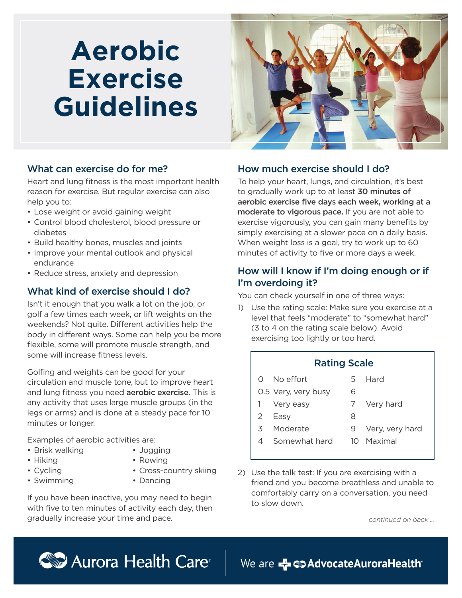# **Aerobic Exercise Guidelines**



#### What can exercise do for me?

Heart and lung fitness is the most important health reason for exercise. But regular exercise can also help you to:

- Lose weight or avoid gaining weight
- Control blood cholesterol, blood pressure or diabetes
- Build healthy bones, muscles and joints
- Improve your mental outlook and physical endurance
- Reduce stress, anxiety and depression

#### What kind of exercise should I do?

Isn't it enough that you walk a lot on the job, or golf a few times each week, or lift weights on the weekends? Not quite. Different activities help the body in different ways. Some can help you be more flexible, some will promote muscle strength, and some will increase fitness levels.

Golfing and weights can be good for your circulation and muscle tone, but to improve heart and lung fitness you need **aerobic exercise.** This is any activity that uses large muscle groups (in the legs or arms) and is done at a steady pace for 10 minutes or longer.

Examples of aerobic activities are:

- Brisk walking
- Jogging • Rowing
- Hiking • Cycling
- 
- Swimming
- Cross-country skiing • Dancing

If you have been inactive, you may need to begin with five to ten minutes of activity each day, then gradually increase your time and pace.

## How much exercise should I do?

To help your heart, lungs, and circulation, it's best to gradually work up to at least 30 minutes of aerobic exercise five days each week, working at a moderate to vigorous pace. If you are not able to exercise vigorously, you can gain many benefits by simply exercising at a slower pace on a daily basis. When weight loss is a goal, try to work up to 60 minutes of activity to five or more days a week.

## How will I know if I'm doing enough or if I'm overdoing it?

You can check yourself in one of three ways:

1) Use the rating scale: Make sure you exercise at a level that feels "moderate" to "somewhat hard" (3 to 4 on the rating scale below). Avoid exercising too lightly or too hard.

#### Rating Scale

- 0 No effort 5 Hard 6
- 0.5 Very, very busy 1 Very easy

2 Easy

- 7 Very hard
- 
- - 9 Very, very hard
- 4 Somewhat hard
- 2) Use the talk test: If you are exercising with a friend and you become breathless and unable to comfortably carry on a conversation, you need to slow down.

*continued on back ...*



We are Z C > Advocate Aurora Health

- 
- 8
	-
	- 10 Maximal
- 3 Moderate